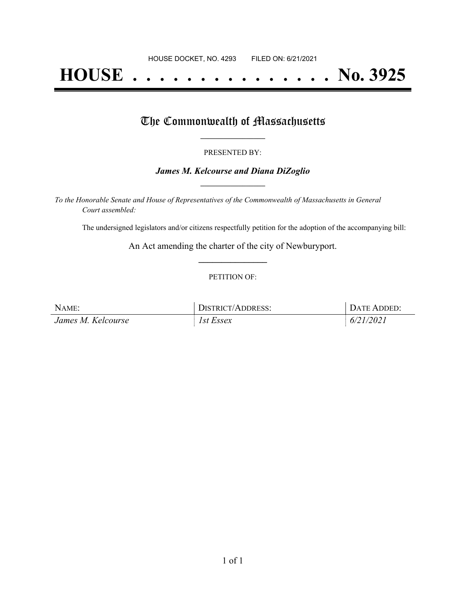# **HOUSE . . . . . . . . . . . . . . . No. 3925**

### The Commonwealth of Massachusetts

#### PRESENTED BY:

#### *James M. Kelcourse and Diana DiZoglio* **\_\_\_\_\_\_\_\_\_\_\_\_\_\_\_\_\_**

*To the Honorable Senate and House of Representatives of the Commonwealth of Massachusetts in General Court assembled:*

The undersigned legislators and/or citizens respectfully petition for the adoption of the accompanying bill:

An Act amending the charter of the city of Newburyport. **\_\_\_\_\_\_\_\_\_\_\_\_\_\_\_**

#### PETITION OF:

| NAME:              | DISTRICT/ADDRESS: | DATE ADDED: |
|--------------------|-------------------|-------------|
| James M. Kelcourse | 1st Essex         | 6/21/2021   |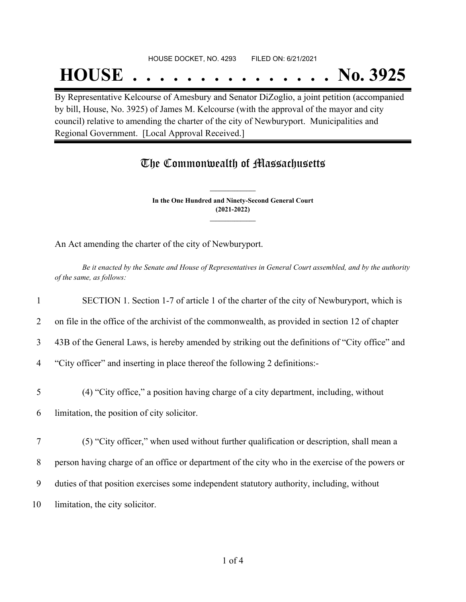#### HOUSE DOCKET, NO. 4293 FILED ON: 6/21/2021

## **HOUSE . . . . . . . . . . . . . . . No. 3925**

By Representative Kelcourse of Amesbury and Senator DiZoglio, a joint petition (accompanied by bill, House, No. 3925) of James M. Kelcourse (with the approval of the mayor and city council) relative to amending the charter of the city of Newburyport. Municipalities and Regional Government. [Local Approval Received.]

## The Commonwealth of Massachusetts

**In the One Hundred and Ninety-Second General Court (2021-2022) \_\_\_\_\_\_\_\_\_\_\_\_\_\_\_**

**\_\_\_\_\_\_\_\_\_\_\_\_\_\_\_**

An Act amending the charter of the city of Newburyport.

Be it enacted by the Senate and House of Representatives in General Court assembled, and by the authority *of the same, as follows:*

| $\mathbf{1}$   | SECTION 1. Section 1-7 of article 1 of the charter of the city of Newburyport, which is          |
|----------------|--------------------------------------------------------------------------------------------------|
| 2              | on file in the office of the archivist of the commonwealth, as provided in section 12 of chapter |
| 3              | 43B of the General Laws, is hereby amended by striking out the definitions of "City office" and  |
| $\overline{4}$ | "City officer" and inserting in place thereof the following 2 definitions:-                      |
| 5              | (4) "City office," a position having charge of a city department, including, without             |
| 6              | limitation, the position of city solicitor.                                                      |
| 7              | (5) "City officer," when used without further qualification or description, shall mean a         |
| 8              | person having charge of an office or department of the city who in the exercise of the powers or |
| 9              | duties of that position exercises some independent statutory authority, including, without       |
| 10             | limitation, the city solicitor.                                                                  |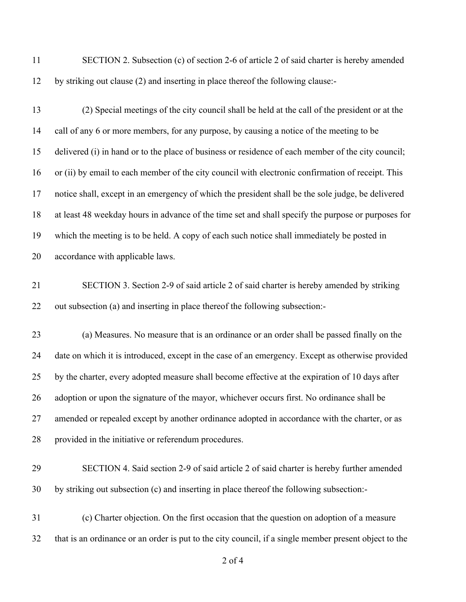- SECTION 2. Subsection (c) of section 2-6 of article 2 of said charter is hereby amended by striking out clause (2) and inserting in place thereof the following clause:-
- (2) Special meetings of the city council shall be held at the call of the president or at the call of any 6 or more members, for any purpose, by causing a notice of the meeting to be delivered (i) in hand or to the place of business or residence of each member of the city council; or (ii) by email to each member of the city council with electronic confirmation of receipt. This notice shall, except in an emergency of which the president shall be the sole judge, be delivered at least 48 weekday hours in advance of the time set and shall specify the purpose or purposes for which the meeting is to be held. A copy of each such notice shall immediately be posted in accordance with applicable laws. SECTION 3. Section 2-9 of said article 2 of said charter is hereby amended by striking out subsection (a) and inserting in place thereof the following subsection:- (a) Measures. No measure that is an ordinance or an order shall be passed finally on the date on which it is introduced, except in the case of an emergency. Except as otherwise provided by the charter, every adopted measure shall become effective at the expiration of 10 days after adoption or upon the signature of the mayor, whichever occurs first. No ordinance shall be 27 amended or repealed except by another ordinance adopted in accordance with the charter, or as 28 provided in the initiative or referendum procedures.
- SECTION 4. Said section 2-9 of said article 2 of said charter is hereby further amended by striking out subsection (c) and inserting in place thereof the following subsection:-
- (c) Charter objection. On the first occasion that the question on adoption of a measure that is an ordinance or an order is put to the city council, if a single member present object to the

of 4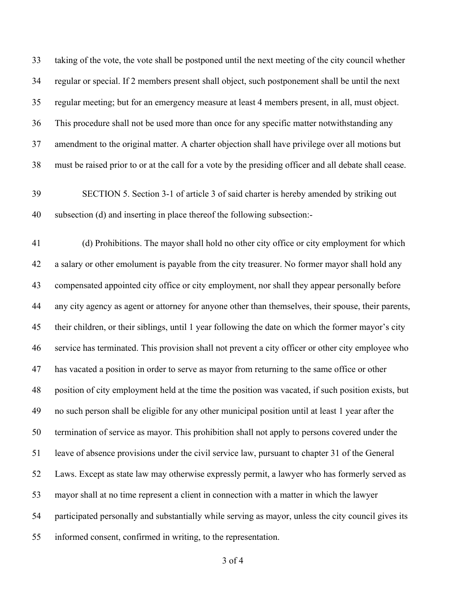taking of the vote, the vote shall be postponed until the next meeting of the city council whether regular or special. If 2 members present shall object, such postponement shall be until the next regular meeting; but for an emergency measure at least 4 members present, in all, must object. This procedure shall not be used more than once for any specific matter notwithstanding any amendment to the original matter. A charter objection shall have privilege over all motions but must be raised prior to or at the call for a vote by the presiding officer and all debate shall cease.

 SECTION 5. Section 3-1 of article 3 of said charter is hereby amended by striking out subsection (d) and inserting in place thereof the following subsection:-

 (d) Prohibitions. The mayor shall hold no other city office or city employment for which a salary or other emolument is payable from the city treasurer. No former mayor shall hold any compensated appointed city office or city employment, nor shall they appear personally before any city agency as agent or attorney for anyone other than themselves, their spouse, their parents, their children, or their siblings, until 1 year following the date on which the former mayor's city service has terminated. This provision shall not prevent a city officer or other city employee who has vacated a position in order to serve as mayor from returning to the same office or other position of city employment held at the time the position was vacated, if such position exists, but no such person shall be eligible for any other municipal position until at least 1 year after the termination of service as mayor. This prohibition shall not apply to persons covered under the leave of absence provisions under the civil service law, pursuant to chapter 31 of the General Laws. Except as state law may otherwise expressly permit, a lawyer who has formerly served as mayor shall at no time represent a client in connection with a matter in which the lawyer participated personally and substantially while serving as mayor, unless the city council gives its informed consent, confirmed in writing, to the representation.

of 4